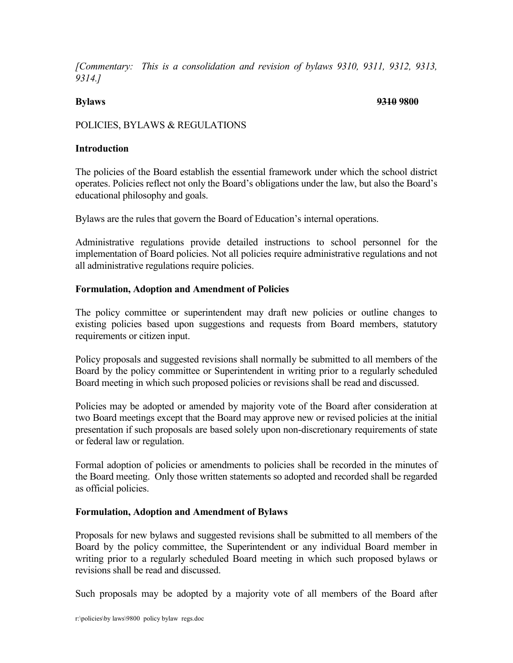*[Commentary: This is a consolidation and revision of bylaws 9310, 9311, 9312, 9313, 9314.]*

#### **Bylaws 9310 9800**

# POLICIES, BYLAWS & REGULATIONS

#### **Introduction**

The policies of the Board establish the essential framework under which the school district operates. Policies reflect not only the Board's obligations under the law, but also the Board's educational philosophy and goals.

Bylaws are the rules that govern the Board of Education's internal operations.

Administrative regulations provide detailed instructions to school personnel for the implementation of Board policies. Not all policies require administrative regulations and not all administrative regulations require policies.

## **Formulation, Adoption and Amendment of Policies**

The policy committee or superintendent may draft new policies or outline changes to existing policies based upon suggestions and requests from Board members, statutory requirements or citizen input.

Policy proposals and suggested revisions shall normally be submitted to all members of the Board by the policy committee or Superintendent in writing prior to a regularly scheduled Board meeting in which such proposed policies or revisions shall be read and discussed.

Policies may be adopted or amended by majority vote of the Board after consideration at two Board meetings except that the Board may approve new or revised policies at the initial presentation if such proposals are based solely upon non-discretionary requirements of state or federal law or regulation.

Formal adoption of policies or amendments to policies shall be recorded in the minutes of the Board meeting. Only those written statements so adopted and recorded shall be regarded as official policies.

#### **Formulation, Adoption and Amendment of Bylaws**

Proposals for new bylaws and suggested revisions shall be submitted to all members of the Board by the policy committee, the Superintendent or any individual Board member in writing prior to a regularly scheduled Board meeting in which such proposed bylaws or revisions shall be read and discussed.

Such proposals may be adopted by a majority vote of all members of the Board after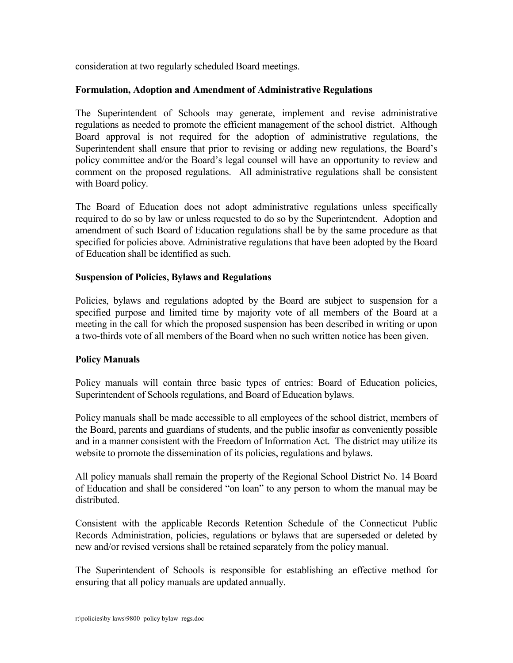consideration at two regularly scheduled Board meetings.

# **Formulation, Adoption and Amendment of Administrative Regulations**

The Superintendent of Schools may generate, implement and revise administrative regulations as needed to promote the efficient management of the school district. Although Board approval is not required for the adoption of administrative regulations, the Superintendent shall ensure that prior to revising or adding new regulations, the Board's policy committee and/or the Board's legal counsel will have an opportunity to review and comment on the proposed regulations. All administrative regulations shall be consistent with Board policy.

The Board of Education does not adopt administrative regulations unless specifically required to do so by law or unless requested to do so by the Superintendent. Adoption and amendment of such Board of Education regulations shall be by the same procedure as that specified for policies above. Administrative regulations that have been adopted by the Board of Education shall be identified as such.

## **Suspension of Policies, Bylaws and Regulations**

Policies, bylaws and regulations adopted by the Board are subject to suspension for a specified purpose and limited time by majority vote of all members of the Board at a meeting in the call for which the proposed suspension has been described in writing or upon a two-thirds vote of all members of the Board when no such written notice has been given.

# **Policy Manuals**

Policy manuals will contain three basic types of entries: Board of Education policies, Superintendent of Schools regulations, and Board of Education bylaws.

Policy manuals shall be made accessible to all employees of the school district, members of the Board, parents and guardians of students, and the public insofar as conveniently possible and in a manner consistent with the Freedom of Information Act. The district may utilize its website to promote the dissemination of its policies, regulations and bylaws.

All policy manuals shall remain the property of the Regional School District No. 14 Board of Education and shall be considered "on loan" to any person to whom the manual may be distributed.

Consistent with the applicable Records Retention Schedule of the Connecticut Public Records Administration, policies, regulations or bylaws that are superseded or deleted by new and/or revised versions shall be retained separately from the policy manual.

The Superintendent of Schools is responsible for establishing an effective method for ensuring that all policy manuals are updated annually.